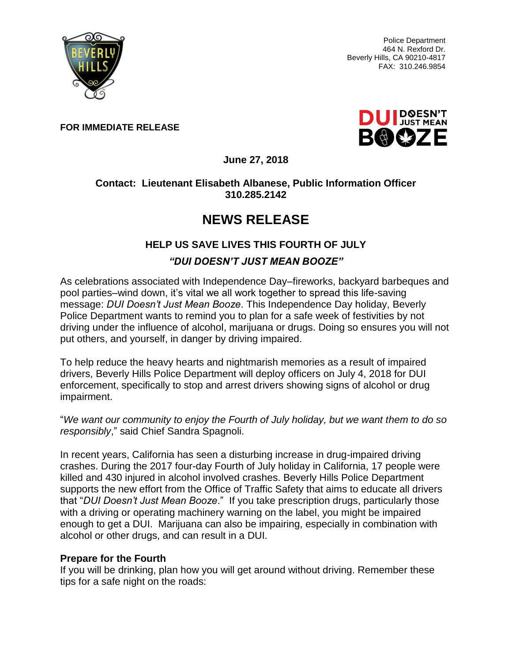

Police Department 464 N. Rexford Dr. Beverly Hills, CA 90210-4817 FAX: 310.246.9854

**FOR IMMEDIATE RELEASE**



**June 27, 2018**

### **Contact: Lieutenant Elisabeth Albanese, Public Information Officer 310.285.2142**

# **NEWS RELEASE**

# **HELP US SAVE LIVES THIS FOURTH OF JULY**

## *"DUI DOESN'T JUST MEAN BOOZE"*

As celebrations associated with Independence Day–fireworks, backyard barbeques and pool parties–wind down, it's vital we all work together to spread this life-saving message: *DUI Doesn't Just Mean Booze*. This Independence Day holiday, Beverly Police Department wants to remind you to plan for a safe week of festivities by not driving under the influence of alcohol, marijuana or drugs. Doing so ensures you will not put others, and yourself, in danger by driving impaired.

To help reduce the heavy hearts and nightmarish memories as a result of impaired drivers, Beverly Hills Police Department will deploy officers on July 4, 2018 for DUI enforcement, specifically to stop and arrest drivers showing signs of alcohol or drug impairment.

"*We want our community to enjoy the Fourth of July holiday, but we want them to do so responsibly*," said Chief Sandra Spagnoli.

In recent years, California has seen a disturbing increase in drug-impaired driving crashes. During the 2017 four-day Fourth of July holiday in California, 17 people were killed and 430 injured in alcohol involved crashes. Beverly Hills Police Department supports the new effort from the Office of Traffic Safety that aims to educate all drivers that "*DUI Doesn't Just Mean Booze*." If you take prescription drugs, particularly those with a driving or operating machinery warning on the label, you might be impaired enough to get a DUI. Marijuana can also be impairing, especially in combination with alcohol or other drugs, and can result in a DUI.

#### **Prepare for the Fourth**

If you will be drinking, plan how you will get around without driving. Remember these tips for a safe night on the roads: